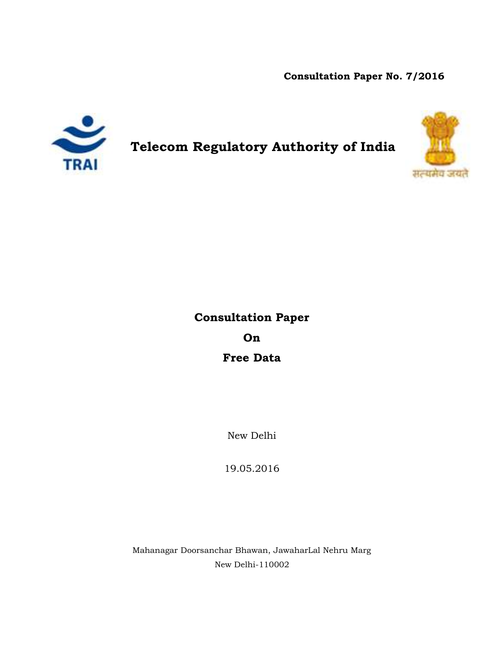**Consultation Paper No. 7/2016**



**Telecom Regulatory Authority of India**



# **Consultation Paper On Free Data**

New Delhi

19.05.2016

Mahanagar Doorsanchar Bhawan, JawaharLal Nehru Marg New Delhi-110002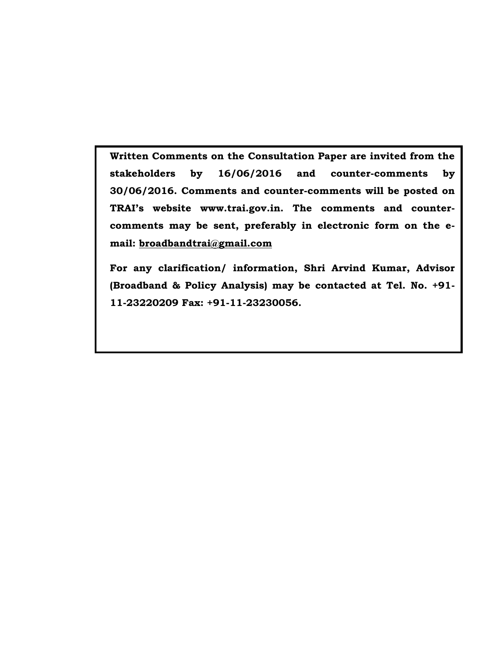**Written Comments on the Consultation Paper are invited from the stakeholders by 16/06/2016 and counter-comments by 30/06/2016. Comments and counter-comments will be posted on TRAI's website www.trai.gov.in. The comments and countercomments may be sent, preferably in electronic form on the email: [broadbandtrai@gmail.com](mailto:broadbandtrai@gmail.com)**

**For any clarification/ information, Shri Arvind Kumar, Advisor (Broadband & Policy Analysis) may be contacted at Tel. No. +91- 11-23220209 Fax: +91-11-23230056.**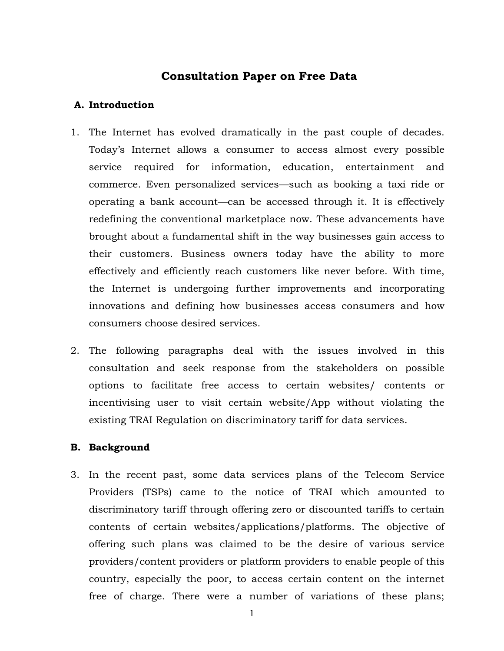## **Consultation Paper on Free Data**

#### **A. Introduction**

- 1. The Internet has evolved dramatically in the past couple of decades. Today's Internet allows a consumer to access almost every possible service required for information, education, entertainment and commerce. Even personalized services—such as booking a taxi ride or operating a bank account—can be accessed through it. It is effectively redefining the conventional marketplace now. These advancements have brought about a fundamental shift in the way businesses gain access to their customers. Business owners today have the ability to more effectively and efficiently reach customers like never before. With time, the Internet is undergoing further improvements and incorporating innovations and defining how businesses access consumers and how consumers choose desired services.
- 2. The following paragraphs deal with the issues involved in this consultation and seek response from the stakeholders on possible options to facilitate free access to certain websites/ contents or incentivising user to visit certain website/App without violating the existing TRAI Regulation on discriminatory tariff for data services.

#### **B. Background**

3. In the recent past, some data services plans of the Telecom Service Providers (TSPs) came to the notice of TRAI which amounted to discriminatory tariff through offering zero or discounted tariffs to certain contents of certain websites/applications/platforms. The objective of offering such plans was claimed to be the desire of various service providers/content providers or platform providers to enable people of this country, especially the poor, to access certain content on the internet free of charge. There were a number of variations of these plans;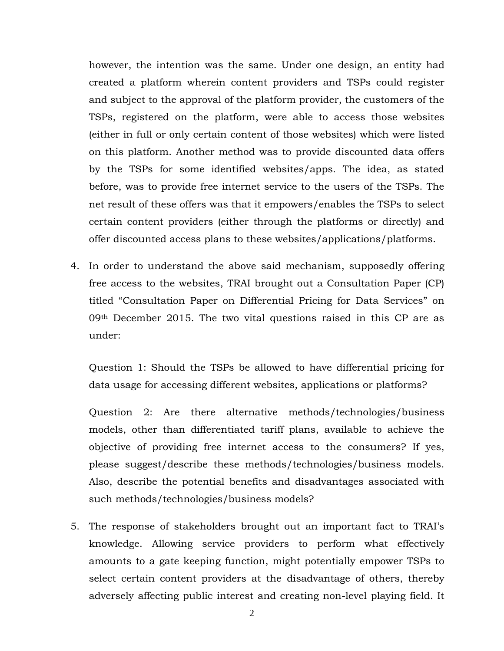however, the intention was the same. Under one design, an entity had created a platform wherein content providers and TSPs could register and subject to the approval of the platform provider, the customers of the TSPs, registered on the platform, were able to access those websites (either in full or only certain content of those websites) which were listed on this platform. Another method was to provide discounted data offers by the TSPs for some identified websites/apps. The idea, as stated before, was to provide free internet service to the users of the TSPs. The net result of these offers was that it empowers/enables the TSPs to select certain content providers (either through the platforms or directly) and offer discounted access plans to these websites/applications/platforms.

4. In order to understand the above said mechanism, supposedly offering free access to the websites, TRAI brought out a Consultation Paper (CP) titled "Consultation Paper on Differential Pricing for Data Services" on 09th December 2015. The two vital questions raised in this CP are as under:

Question 1: Should the TSPs be allowed to have differential pricing for data usage for accessing different websites, applications or platforms?

Question 2: Are there alternative methods/technologies/business models, other than differentiated tariff plans, available to achieve the objective of providing free internet access to the consumers? If yes, please suggest/describe these methods/technologies/business models. Also, describe the potential benefits and disadvantages associated with such methods/technologies/business models?

5. The response of stakeholders brought out an important fact to TRAI's knowledge. Allowing service providers to perform what effectively amounts to a gate keeping function, might potentially empower TSPs to select certain content providers at the disadvantage of others, thereby adversely affecting public interest and creating non-level playing field. It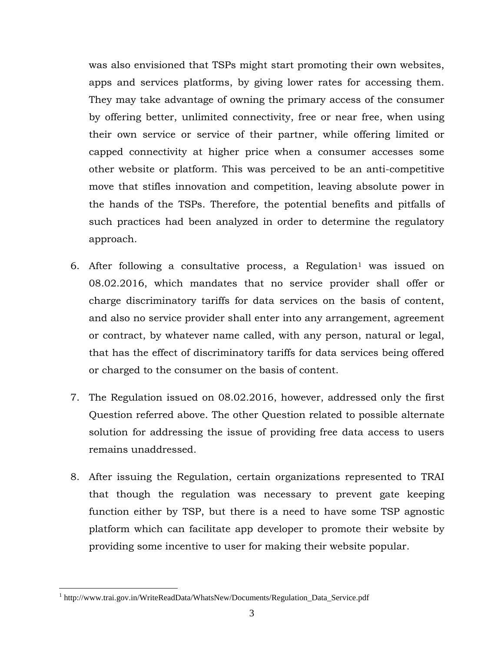was also envisioned that TSPs might start promoting their own websites, apps and services platforms, by giving lower rates for accessing them. They may take advantage of owning the primary access of the consumer by offering better, unlimited connectivity, free or near free, when using their own service or service of their partner, while offering limited or capped connectivity at higher price when a consumer accesses some other website or platform. This was perceived to be an anti-competitive move that stifles innovation and competition, leaving absolute power in the hands of the TSPs. Therefore, the potential benefits and pitfalls of such practices had been analyzed in order to determine the regulatory approach.

- 6. After following a consultative process, a Regulation<sup>1</sup> was issued on 08.02.2016, which mandates that no service provider shall offer or charge discriminatory tariffs for data services on the basis of content, and also no service provider shall enter into any arrangement, agreement or contract, by whatever name called, with any person, natural or legal, that has the effect of discriminatory tariffs for data services being offered or charged to the consumer on the basis of content.
- 7. The Regulation issued on 08.02.2016, however, addressed only the first Question referred above. The other Question related to possible alternate solution for addressing the issue of providing free data access to users remains unaddressed.
- 8. After issuing the Regulation, certain organizations represented to TRAI that though the regulation was necessary to prevent gate keeping function either by TSP, but there is a need to have some TSP agnostic platform which can facilitate app developer to promote their website by providing some incentive to user for making their website popular.

 $\overline{a}$ 

<sup>&</sup>lt;sup>1</sup> http://www.trai.gov.in/WriteReadData/WhatsNew/Documents/Regulation\_Data\_Service.pdf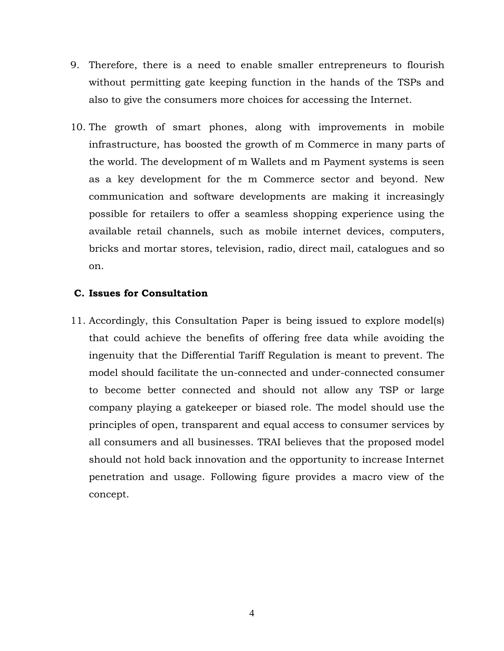- 9. Therefore, there is a need to enable smaller entrepreneurs to flourish without permitting gate keeping function in the hands of the TSPs and also to give the consumers more choices for accessing the Internet.
- 10. The growth of smart phones, along with improvements in mobile infrastructure, has boosted the growth of m Commerce in many parts of the world. The development of m Wallets and m Payment systems is seen as a key development for the m Commerce sector and beyond. New communication and software developments are making it increasingly possible for retailers to offer a seamless shopping experience using the available retail channels, such as mobile internet devices, computers, bricks and mortar stores, television, radio, direct mail, catalogues and so on.

#### **C. Issues for Consultation**

11. Accordingly, this Consultation Paper is being issued to explore model(s) that could achieve the benefits of offering free data while avoiding the ingenuity that the Differential Tariff Regulation is meant to prevent. The model should facilitate the un-connected and under-connected consumer to become better connected and should not allow any TSP or large company playing a gatekeeper or biased role. The model should use the principles of open, transparent and equal access to consumer services by all consumers and all businesses. TRAI believes that the proposed model should not hold back innovation and the opportunity to increase Internet penetration and usage. Following figure provides a macro view of the concept.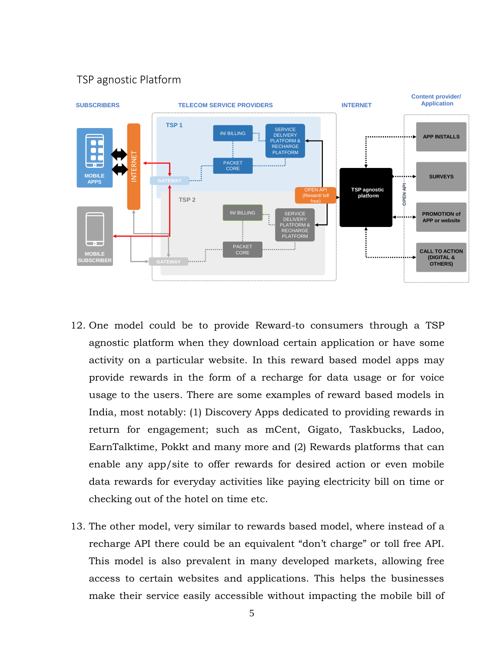# TSP agnostic Platform



- 12. One model could be to provide Reward-to consumers through a TSP agnostic platform when they download certain application or have some activity on a particular website. In this reward based model apps may provide rewards in the form of a recharge for data usage or for voice usage to the users. There are some examples of reward based models in India, most notably: (1) Discovery Apps dedicated to providing rewards in return for engagement; such as mCent, Gigato, Taskbucks, Ladoo, EarnTalktime, Pokkt and many more and (2) Rewards platforms that can enable any app/site to offer rewards for desired action or even mobile data rewards for everyday activities like paying electricity bill on time or checking out of the hotel on time etc.
- 13. The other model, very similar to rewards based model, where instead of a recharge API there could be an equivalent "don't charge" or toll free API. This model is also prevalent in many developed markets, allowing free access to certain websites and applications. This helps the businesses make their service easily accessible without impacting the mobile bill of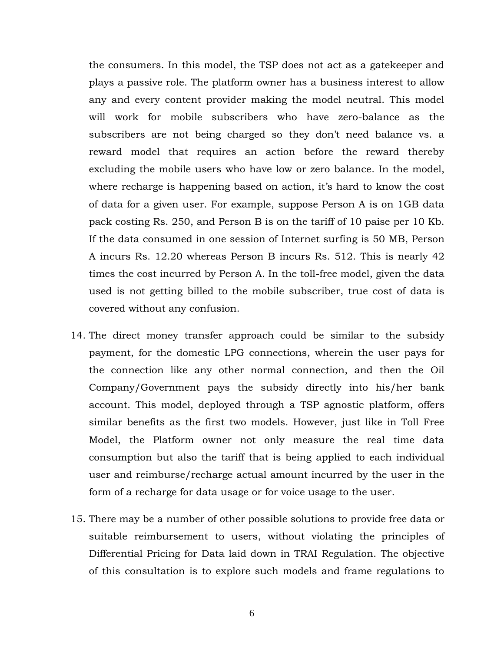the consumers. In this model, the TSP does not act as a gatekeeper and plays a passive role. The platform owner has a business interest to allow any and every content provider making the model neutral. This model will work for mobile subscribers who have zero-balance as the subscribers are not being charged so they don't need balance vs. a reward model that requires an action before the reward thereby excluding the mobile users who have low or zero balance. In the model, where recharge is happening based on action, it's hard to know the cost of data for a given user. For example, suppose Person A is on 1GB data pack costing Rs. 250, and Person B is on the tariff of 10 paise per 10 Kb. If the data consumed in one session of Internet surfing is 50 MB, Person A incurs Rs. 12.20 whereas Person B incurs Rs. 512. This is nearly 42 times the cost incurred by Person A. In the toll-free model, given the data used is not getting billed to the mobile subscriber, true cost of data is covered without any confusion.

- 14. The direct money transfer approach could be similar to the subsidy payment, for the domestic LPG connections, wherein the user pays for the connection like any other normal connection, and then the Oil Company/Government pays the subsidy directly into his/her bank account. This model, deployed through a TSP agnostic platform, offers similar benefits as the first two models. However, just like in Toll Free Model, the Platform owner not only measure the real time data consumption but also the tariff that is being applied to each individual user and reimburse/recharge actual amount incurred by the user in the form of a recharge for data usage or for voice usage to the user.
- 15. There may be a number of other possible solutions to provide free data or suitable reimbursement to users, without violating the principles of Differential Pricing for Data laid down in TRAI Regulation. The objective of this consultation is to explore such models and frame regulations to